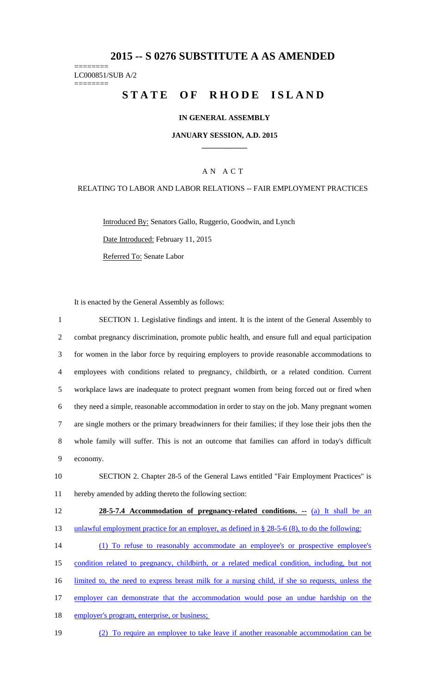# **2015 -- S 0276 SUBSTITUTE A AS AMENDED**

======== LC000851/SUB A/2  $=$ 

# **STATE OF RHODE ISLAND**

### **IN GENERAL ASSEMBLY**

**JANUARY SESSION, A.D. 2015 \_\_\_\_\_\_\_\_\_\_\_\_**

### A N A C T

### RELATING TO LABOR AND LABOR RELATIONS -- FAIR EMPLOYMENT PRACTICES

Introduced By: Senators Gallo, Ruggerio, Goodwin, and Lynch

Date Introduced: February 11, 2015

Referred To: Senate Labor

It is enacted by the General Assembly as follows:

| $\mathbf{1}$ | SECTION 1. Legislative findings and intent. It is the intent of the General Assembly to             |
|--------------|-----------------------------------------------------------------------------------------------------|
| 2            | combat pregnancy discrimination, promote public health, and ensure full and equal participation     |
| 3            | for women in the labor force by requiring employers to provide reasonable accommodations to         |
| 4            | employees with conditions related to pregnancy, childbirth, or a related condition. Current         |
| 5            | workplace laws are inadequate to protect pregnant women from being forced out or fired when         |
| 6            | they need a simple, reasonable accommodation in order to stay on the job. Many pregnant women       |
| $\tau$       | are single mothers or the primary breadwinners for their families; if they lose their jobs then the |
| 8            | whole family will suffer. This is not an outcome that families can afford in today's difficult      |
| 9            | economy.                                                                                            |
| 10           | SECTION 2. Chapter 28-5 of the General Laws entitled "Fair Employment Practices" is                 |
| 11           | hereby amended by adding thereto the following section:                                             |
| 12           | 28-5-7.4 Accommodation of pregnancy-related conditions. -- (a) It shall be an                       |
| 13           | unlawful employment practice for an employer, as defined in $\S$ 28-5-6 (8), to do the following:   |
| 14           | (1) To refuse to reasonably accommodate an employee's or prospective employee's                     |
| 15           | condition related to pregnancy, childbirth, or a related medical condition, including, but not      |
| 16           | limited to, the need to express breast milk for a nursing child, if she so requests, unless the     |
| 17           | employer can demonstrate that the accommodation would pose an undue hardship on the                 |
| 18           | employer's program, enterprise, or business;                                                        |

19 (2) To require an employee to take leave if another reasonable accommodation can be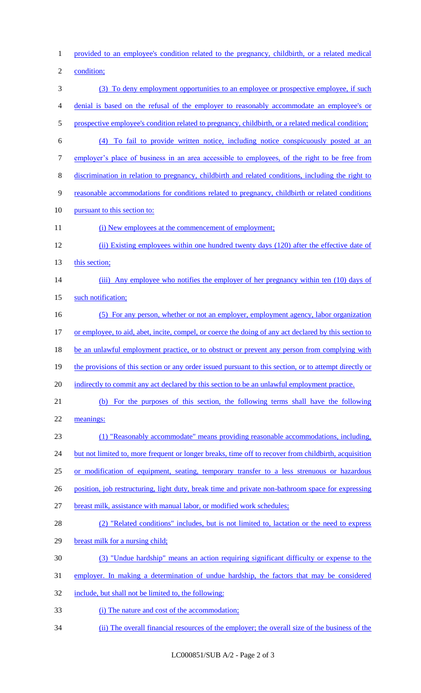1 provided to an employee's condition related to the pregnancy, childbirth, or a related medical

2 condition;

3 (3) To deny employment opportunities to an employee or prospective employee, if such 4 denial is based on the refusal of the employer to reasonably accommodate an employee's or 5 prospective employee's condition related to pregnancy, childbirth, or a related medical condition; 6 (4) To fail to provide written notice, including notice conspicuously posted at an 7 employer's place of business in an area accessible to employees, of the right to be free from 8 discrimination in relation to pregnancy, childbirth and related conditions, including the right to 9 reasonable accommodations for conditions related to pregnancy, childbirth or related conditions 10 pursuant to this section to: 11 (i) New employees at the commencement of employment; 12 (ii) Existing employees within one hundred twenty days (120) after the effective date of 13 this section; 14 (iii) Any employee who notifies the employer of her pregnancy within ten (10) days of 15 such notification; 16 (5) For any person, whether or not an employer, employment agency, labor organization 17 or employee, to aid, abet, incite, compel, or coerce the doing of any act declared by this section to 18 be an unlawful employment practice, or to obstruct or prevent any person from complying with 19 the provisions of this section or any order issued pursuant to this section, or to attempt directly or 20 indirectly to commit any act declared by this section to be an unlawful employment practice. 21 (b) For the purposes of this section, the following terms shall have the following 22 meanings: 23 (1) "Reasonably accommodate" means providing reasonable accommodations, including, 24 but not limited to, more frequent or longer breaks, time off to recover from childbirth, acquisition 25 or modification of equipment, seating, temporary transfer to a less strenuous or hazardous 26 position, job restructuring, light duty, break time and private non-bathroom space for expressing 27 breast milk, assistance with manual labor, or modified work schedules; 28 (2) "Related conditions" includes, but is not limited to, lactation or the need to express 29 breast milk for a nursing child; 30 (3) "Undue hardship" means an action requiring significant difficulty or expense to the 31 employer. In making a determination of undue hardship, the factors that may be considered 32 include, but shall not be limited to, the following: 33 (i) The nature and cost of the accommodation; 34 (ii) The overall financial resources of the employer; the overall size of the business of the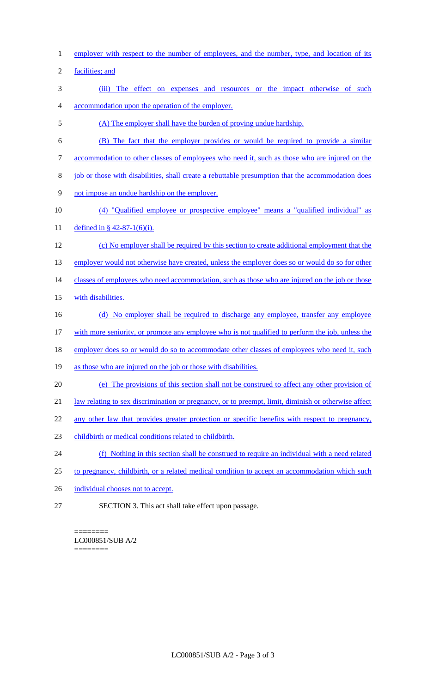- 1 employer with respect to the number of employees, and the number, type, and location of its
- 2 facilities; and
- 3 (iii) The effect on expenses and resources or the impact otherwise of such 4 accommodation upon the operation of the employer.
- 5 (A) The employer shall have the burden of proving undue hardship.
- 6 (B) The fact that the employer provides or would be required to provide a similar
- 7 accommodation to other classes of employees who need it, such as those who are injured on the
- 8 job or those with disabilities, shall create a rebuttable presumption that the accommodation does
- 9 not impose an undue hardship on the employer.
- 10 (4) "Qualified employee or prospective employee" means a "qualified individual" as 11 defined in § 42-87-1(6)(i).
- 12 (c) No employer shall be required by this section to create additional employment that the 13 employer would not otherwise have created, unless the employer does so or would do so for other 14 classes of employees who need accommodation, such as those who are injured on the job or those 15 with disabilities.
- 16 (d) No employer shall be required to discharge any employee, transfer any employee
- 17 with more seniority, or promote any employee who is not qualified to perform the job, unless the
- 18 employer does so or would do so to accommodate other classes of employees who need it, such
- 19 as those who are injured on the job or those with disabilities.
- 20 (e) The provisions of this section shall not be construed to affect any other provision of
- 21 law relating to sex discrimination or pregnancy, or to preempt, limit, diminish or otherwise affect
- 22 any other law that provides greater protection or specific benefits with respect to pregnancy,
- 23 childbirth or medical conditions related to childbirth.
- 24 (f) Nothing in this section shall be construed to require an individual with a need related
- 25 to pregnancy, childbirth, or a related medical condition to accept an accommodation which such
- 26 individual chooses not to accept.
- 27 SECTION 3. This act shall take effect upon passage.

======== LC000851/SUB A/2 ========